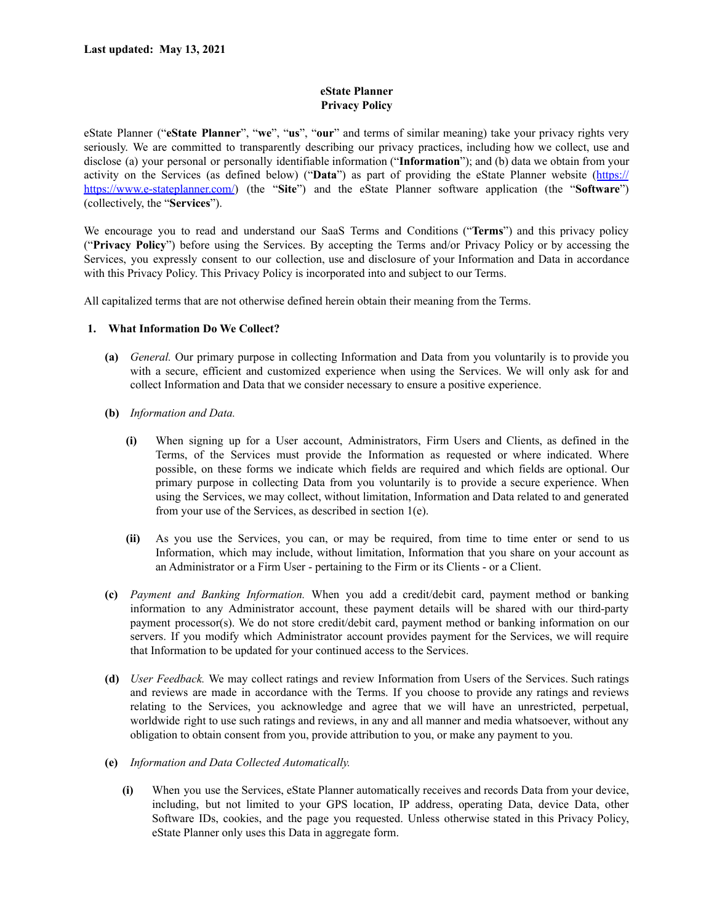# **eState Planner Privacy Policy**

eState Planner ("**eState Planner**", "**we**", "**us**", "**our**" and terms of similar meaning) take your privacy rights very seriously. We are committed to transparently describing our privacy practices, including how we collect, use and disclose (a) your personal or personally identifiable information ("**Information**"); and (b) data we obtain from your activity on the Services (as defined below) ("**Data**") as part of providing the eState Planner website (https:// https://www.e-stateplanner.com/) (the "**Site**") and the eState Planner software application (the "**Software**") (collectively, the "**Services**").

We encourage you to read and understand our SaaS Terms and Conditions ("**Terms**") and this privacy policy ("**Privacy Policy**") before using the Services. By accepting the Terms and/or Privacy Policy or by accessing the Services, you expressly consent to our collection, use and disclosure of your Information and Data in accordance with this Privacy Policy. This Privacy Policy is incorporated into and subject to our Terms.

All capitalized terms that are not otherwise defined herein obtain their meaning from the Terms.

# **1. What Information Do We Collect?**

- **(a)** *General.* Our primary purpose in collecting Information and Data from you voluntarily is to provide you with a secure, efficient and customized experience when using the Services. We will only ask for and collect Information and Data that we consider necessary to ensure a positive experience.
- **(b)** *Information and Data.*
	- **(i)** When signing up for a User account, Administrators, Firm Users and Clients, as defined in the Terms, of the Services must provide the Information as requested or where indicated. Where possible, on these forms we indicate which fields are required and which fields are optional. Our primary purpose in collecting Data from you voluntarily is to provide a secure experience. When using the Services, we may collect, without limitation, Information and Data related to and generated from your use of the Services, as described in section 1(e).
	- **(ii)** As you use the Services, you can, or may be required, from time to time enter or send to us Information, which may include, without limitation, Information that you share on your account as an Administrator or a Firm User - pertaining to the Firm or its Clients - or a Client.
- **(c)** *Payment and Banking Information.* When you add a credit/debit card, payment method or banking information to any Administrator account, these payment details will be shared with our third-party payment processor(s). We do not store credit/debit card, payment method or banking information on our servers. If you modify which Administrator account provides payment for the Services, we will require that Information to be updated for your continued access to the Services.
- **(d)** *User Feedback.* We may collect ratings and review Information from Users of the Services. Such ratings and reviews are made in accordance with the Terms. If you choose to provide any ratings and reviews relating to the Services, you acknowledge and agree that we will have an unrestricted, perpetual, worldwide right to use such ratings and reviews, in any and all manner and media whatsoever, without any obligation to obtain consent from you, provide attribution to you, or make any payment to you.
- **(e)** *Information and Data Collected Automatically.*
	- **(i)** When you use the Services, eState Planner automatically receives and records Data from your device, including, but not limited to your GPS location, IP address, operating Data, device Data, other Software IDs, cookies, and the page you requested. Unless otherwise stated in this Privacy Policy, eState Planner only uses this Data in aggregate form.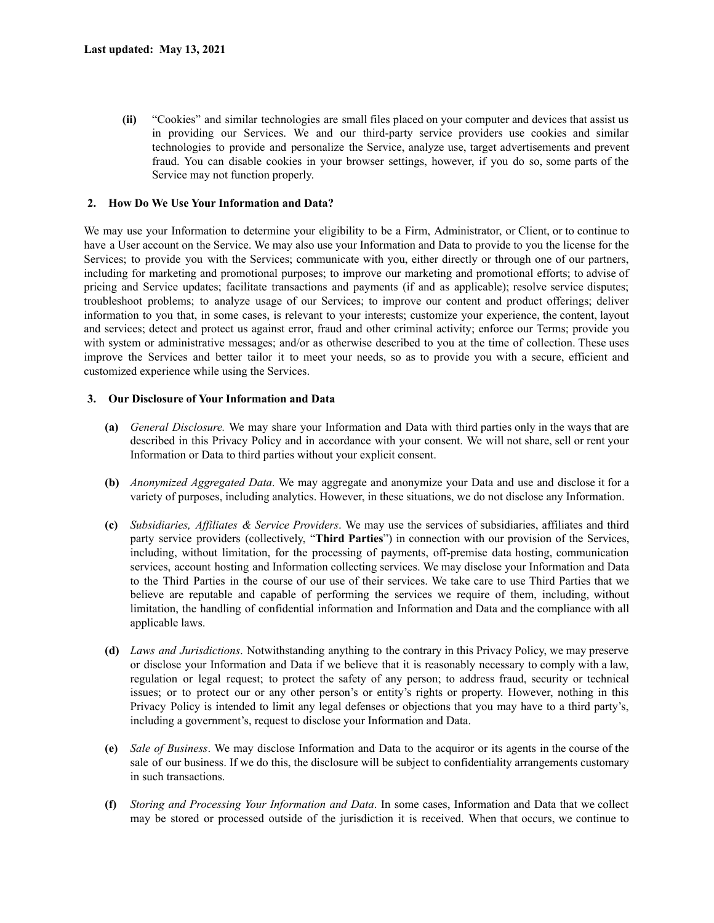**(ii)** "Cookies" and similar technologies are small files placed on your computer and devices that assist us in providing our Services. We and our third-party service providers use cookies and similar technologies to provide and personalize the Service, analyze use, target advertisements and prevent fraud. You can disable cookies in your browser settings, however, if you do so, some parts of the Service may not function properly.

# **2. How Do We Use Your Information and Data?**

We may use your Information to determine your eligibility to be a Firm, Administrator, or Client, or to continue to have a User account on the Service. We may also use your Information and Data to provide to you the license for the Services; to provide you with the Services; communicate with you, either directly or through one of our partners, including for marketing and promotional purposes; to improve our marketing and promotional efforts; to advise of pricing and Service updates; facilitate transactions and payments (if and as applicable); resolve service disputes; troubleshoot problems; to analyze usage of our Services; to improve our content and product offerings; deliver information to you that, in some cases, is relevant to your interests; customize your experience, the content, layout and services; detect and protect us against error, fraud and other criminal activity; enforce our Terms; provide you with system or administrative messages; and/or as otherwise described to you at the time of collection. These uses improve the Services and better tailor it to meet your needs, so as to provide you with a secure, efficient and customized experience while using the Services.

## **3. Our Disclosure of Your Information and Data**

- **(a)** *General Disclosure.* We may share your Information and Data with third parties only in the ways that are described in this Privacy Policy and in accordance with your consent. We will not share, sell or rent your Information or Data to third parties without your explicit consent.
- **(b)** *Anonymized Aggregated Data*. We may aggregate and anonymize your Data and use and disclose it for a variety of purposes, including analytics. However, in these situations, we do not disclose any Information.
- **(c)** *Subsidiaries, Af iliates & Service Providers*. We may use the services of subsidiaries, affiliates and third party service providers (collectively, "**Third Parties**") in connection with our provision of the Services, including, without limitation, for the processing of payments, off-premise data hosting, communication services, account hosting and Information collecting services. We may disclose your Information and Data to the Third Parties in the course of our use of their services. We take care to use Third Parties that we believe are reputable and capable of performing the services we require of them, including, without limitation, the handling of confidential information and Information and Data and the compliance with all applicable laws.
- **(d)** *Laws and Jurisdictions*. Notwithstanding anything to the contrary in this Privacy Policy, we may preserve or disclose your Information and Data if we believe that it is reasonably necessary to comply with a law, regulation or legal request; to protect the safety of any person; to address fraud, security or technical issues; or to protect our or any other person's or entity's rights or property. However, nothing in this Privacy Policy is intended to limit any legal defenses or objections that you may have to a third party's, including a government's, request to disclose your Information and Data.
- **(e)** *Sale of Business*. We may disclose Information and Data to the acquiror or its agents in the course of the sale of our business. If we do this, the disclosure will be subject to confidentiality arrangements customary in such transactions.
- **(f)** *Storing and Processing Your Information and Data*. In some cases, Information and Data that we collect may be stored or processed outside of the jurisdiction it is received. When that occurs, we continue to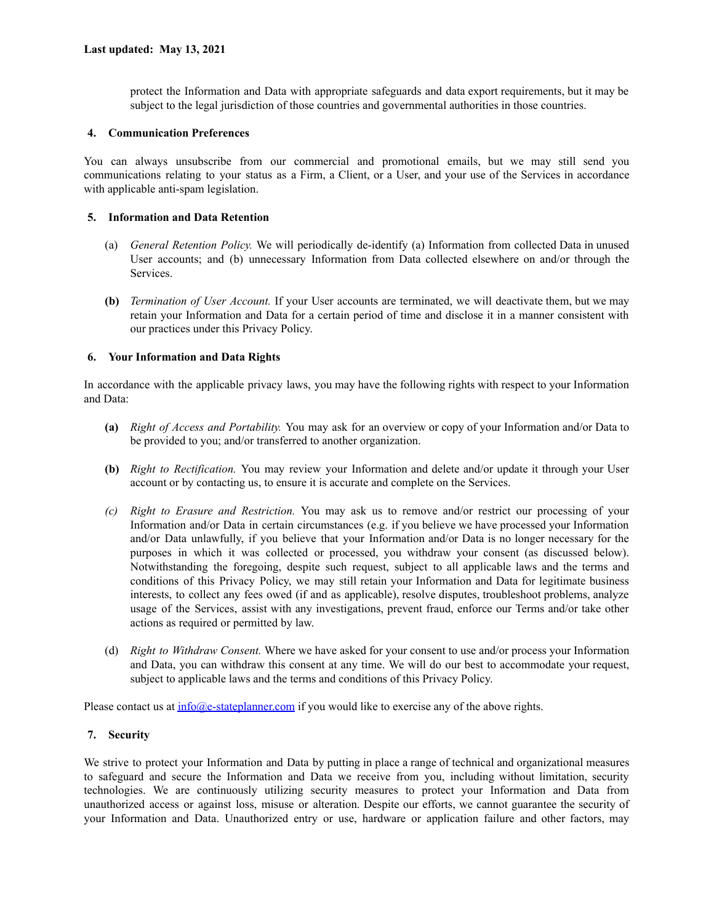protect the Information and Data with appropriate safeguards and data export requirements, but it may be subject to the legal jurisdiction of those countries and governmental authorities in those countries.

#### **4. Communication Preferences**

You can always unsubscribe from our commercial and promotional emails, but we may still send you communications relating to your status as a Firm, a Client, or a User, and your use of the Services in accordance with applicable anti-spam legislation.

#### **5. Information and Data Retention**

- (a) *General Retention Policy.* We will periodically de-identify (a) Information from collected Data in unused User accounts; and (b) unnecessary Information from Data collected elsewhere on and/or through the Services.
- **(b)** *Termination of User Account.* If your User accounts are terminated, we will deactivate them, but we may retain your Information and Data for a certain period of time and disclose it in a manner consistent with our practices under this Privacy Policy.

#### **6. Your Information and Data Rights**

In accordance with the applicable privacy laws, you may have the following rights with respect to your Information and Data:

- **(a)** *Right of Access and Portability.* You may ask for an overview or copy of your Information and/or Data to be provided to you; and/or transferred to another organization.
- **(b)** *Right to Rectification.* You may review your Information and delete and/or update it through your User account or by contacting us, to ensure it is accurate and complete on the Services.
- *(c) Right to Erasure and Restriction.* You may ask us to remove and/or restrict our processing of your Information and/or Data in certain circumstances (e.g. if you believe we have processed your Information and/or Data unlawfully, if you believe that your Information and/or Data is no longer necessary for the purposes in which it was collected or processed, you withdraw your consent (as discussed below). Notwithstanding the foregoing, despite such request, subject to all applicable laws and the terms and conditions of this Privacy Policy, we may still retain your Information and Data for legitimate business interests, to collect any fees owed (if and as applicable), resolve disputes, troubleshoot problems, analyze usage of the Services, assist with any investigations, prevent fraud, enforce our Terms and/or take other actions as required or permitted by law.
- (d) *Right to Withdraw Consent.* Where we have asked for your consent to use and/or process your Information and Data, you can withdraw this consent at any time. We will do our best to accommodate your request, subject to applicable laws and the terms and conditions of this Privacy Policy.

Please contact us at  $info@e$ -stateplanner.com if you would like to exercise any of the above rights.

## **7. Security**

We strive to protect your Information and Data by putting in place a range of technical and organizational measures to safeguard and secure the Information and Data we receive from you, including without limitation, security technologies. We are continuously utilizing security measures to protect your Information and Data from unauthorized access or against loss, misuse or alteration. Despite our efforts, we cannot guarantee the security of your Information and Data. Unauthorized entry or use, hardware or application failure and other factors, may